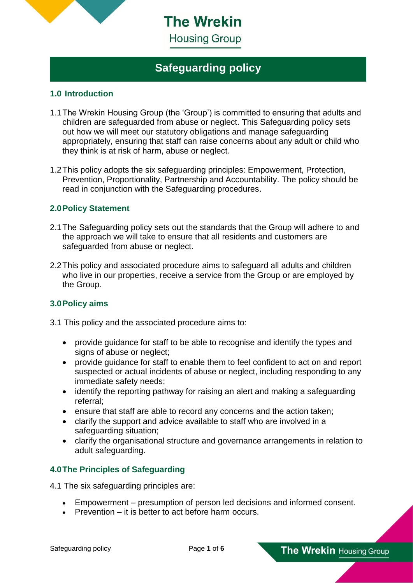

**The Wrekin** 

## **Housing Group**

# **Safeguarding policy**

## **1.0 Introduction**

- 1.1The Wrekin Housing Group (the 'Group') is committed to ensuring that adults and children are safeguarded from abuse or neglect. This Safeguarding policy sets out how we will meet our statutory obligations and manage safeguarding appropriately, ensuring that staff can raise concerns about any adult or child who they think is at risk of harm, abuse or neglect.
- 1.2This policy adopts the six safeguarding principles: Empowerment, Protection, Prevention, Proportionality, Partnership and Accountability. The policy should be read in conjunction with the Safeguarding procedures.

## **2.0Policy Statement**

- 2.1The Safeguarding policy sets out the standards that the Group will adhere to and the approach we will take to ensure that all residents and customers are safeguarded from abuse or neglect.
- 2.2This policy and associated procedure aims to safeguard all adults and children who live in our properties, receive a service from the Group or are employed by the Group.

#### **3.0Policy aims**

- 3.1 This policy and the associated procedure aims to:
	- provide guidance for staff to be able to recognise and identify the types and signs of abuse or neglect;
	- provide guidance for staff to enable them to feel confident to act on and report suspected or actual incidents of abuse or neglect, including responding to any immediate safety needs;
	- identify the reporting pathway for raising an alert and making a safeguarding referral;
	- ensure that staff are able to record any concerns and the action taken;
	- clarify the support and advice available to staff who are involved in a safeguarding situation;
	- clarify the organisational structure and governance arrangements in relation to adult safeguarding.

## **4.0The Principles of Safeguarding**

4.1 The six safeguarding principles are:

- Empowerment presumption of person led decisions and informed consent.
- Prevention it is better to act before harm occurs.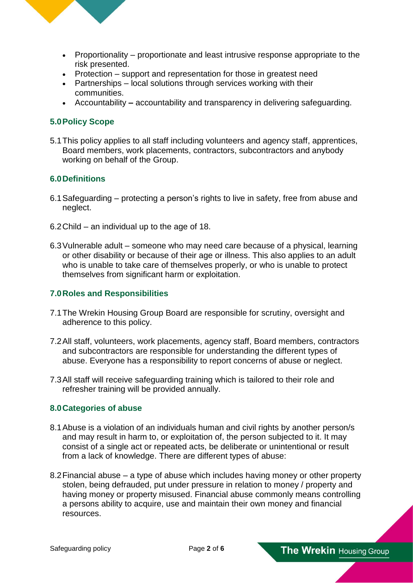

- Proportionality proportionate and least intrusive response appropriate to the risk presented.
- Protection support and representation for those in greatest need
- Partnerships local solutions through services working with their communities.
- Accountability **–** accountability and transparency in delivering safeguarding.

#### **5.0Policy Scope**

5.1This policy applies to all staff including volunteers and agency staff, apprentices, Board members, work placements, contractors, subcontractors and anybody working on behalf of the Group.

#### **6.0Definitions**

- 6.1Safeguarding protecting a person's rights to live in safety, free from abuse and neglect.
- 6.2Child an individual up to the age of 18.
- 6.3Vulnerable adult someone who may need care because of a physical, learning or other disability or because of their age or illness. This also applies to an adult who is unable to take care of themselves properly, or who is unable to protect themselves from significant harm or exploitation.

#### **7.0Roles and Responsibilities**

- 7.1The Wrekin Housing Group Board are responsible for scrutiny, oversight and adherence to this policy.
- 7.2All staff, volunteers, work placements, agency staff, Board members, contractors and subcontractors are responsible for understanding the different types of abuse. Everyone has a responsibility to report concerns of abuse or neglect.
- 7.3All staff will receive safeguarding training which is tailored to their role and refresher training will be provided annually.

#### **8.0Categories of abuse**

- 8.1Abuse is a violation of an individuals human and civil rights by another person/s and may result in harm to, or exploitation of, the person subjected to it. It may consist of a single act or repeated acts, be deliberate or unintentional or result from a lack of knowledge. There are different types of abuse:
- 8.2Financial abuse a type of abuse which includes having money or other property stolen, being defrauded, put under pressure in relation to money / property and having money or property misused. Financial abuse commonly means controlling a persons ability to acquire, use and maintain their own money and financial resources.

The Wrekin Housing Group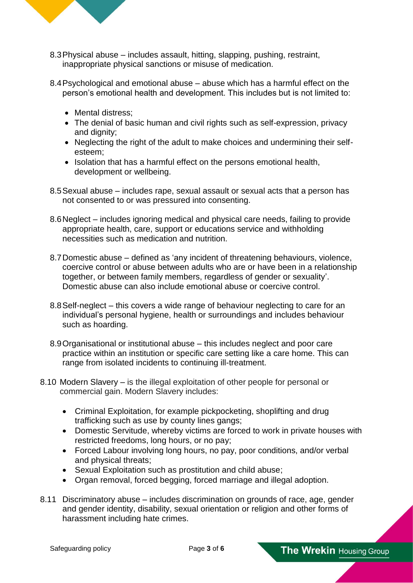

- 8.3Physical abuse includes assault, hitting, slapping, pushing, restraint, inappropriate physical sanctions or misuse of medication.
- 8.4Psychological and emotional abuse abuse which has a harmful effect on the person's emotional health and development. This includes but is not limited to:
	- Mental distress:
	- The denial of basic human and civil rights such as self-expression, privacy and dignity;
	- Neglecting the right of the adult to make choices and undermining their selfesteem;
	- Isolation that has a harmful effect on the persons emotional health, development or wellbeing.
- 8.5Sexual abuse includes rape, sexual assault or sexual acts that a person has not consented to or was pressured into consenting.
- 8.6Neglect includes ignoring medical and physical care needs, failing to provide appropriate health, care, support or educations service and withholding necessities such as medication and nutrition.
- 8.7Domestic abuse defined as 'any incident of threatening behaviours, violence, coercive control or abuse between adults who are or have been in a relationship together, or between family members, regardless of gender or sexuality'. Domestic abuse can also include emotional abuse or coercive control.
- 8.8Self-neglect this covers a wide range of behaviour neglecting to care for an individual's personal hygiene, health or surroundings and includes behaviour such as hoarding.
- 8.9Organisational or institutional abuse this includes neglect and poor care practice within an institution or specific care setting like a care home. This can range from isolated incidents to continuing ill-treatment.
- 8.10 Modern Slavery is the illegal exploitation of other people for personal or commercial gain. Modern Slavery includes:
	- Criminal Exploitation, for example pickpocketing, shoplifting and drug trafficking such as use by county lines gangs;
	- Domestic Servitude, whereby victims are forced to work in private houses with restricted freedoms, long hours, or no pay;
	- Forced Labour involving long hours, no pay, poor conditions, and/or verbal and physical threats;
	- Sexual Exploitation such as prostitution and child abuse;
	- Organ removal, forced begging, forced marriage and illegal adoption.
- 8.11 Discriminatory abuse includes discrimination on grounds of race, age, gender and gender identity, disability, sexual orientation or religion and other forms of harassment including hate crimes.

The Wrekin Housing Group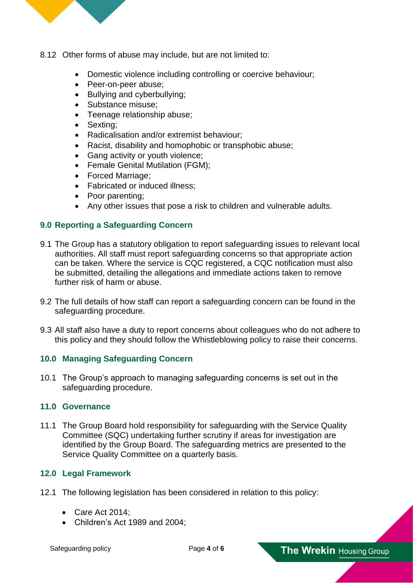

- 8.12 Other forms of abuse may include, but are not limited to:
	- Domestic violence including controlling or coercive behaviour;
	- Peer-on-peer abuse:
	- Bullying and cyberbullying;
	- Substance misuse:
	- Teenage relationship abuse;
	- Sexting;
	- Radicalisation and/or extremist behaviour;
	- Racist, disability and homophobic or transphobic abuse;
	- Gang activity or youth violence;
	- Female Genital Mutilation (FGM);
	- Forced Marriage;
	- Fabricated or induced illness;
	- Poor parenting:
	- Any other issues that pose a risk to children and vulnerable adults.

## **9.0 Reporting a Safeguarding Concern**

- 9.1 The Group has a statutory obligation to report safeguarding issues to relevant local authorities. All staff must report safeguarding concerns so that appropriate action can be taken. Where the service is CQC registered, a CQC notification must also be submitted, detailing the allegations and immediate actions taken to remove further risk of harm or abuse.
- 9.2 The full details of how staff can report a safeguarding concern can be found in the safeguarding procedure.
- 9.3 All staff also have a duty to report concerns about colleagues who do not adhere to this policy and they should follow the Whistleblowing policy to raise their concerns.

## **10.0 Managing Safeguarding Concern**

10.1 The Group's approach to managing safeguarding concerns is set out in the safeguarding procedure.

#### **11.0 Governance**

11.1 The Group Board hold responsibility for safeguarding with the Service Quality Committee (SQC) undertaking further scrutiny if areas for investigation are identified by the Group Board. The safeguarding metrics are presented to the Service Quality Committee on a quarterly basis.

#### **12.0 Legal Framework**

- 12.1 The following legislation has been considered in relation to this policy:
	- Care Act 2014;
	- Children's Act 1989 and 2004;

The Wrekin Housing Group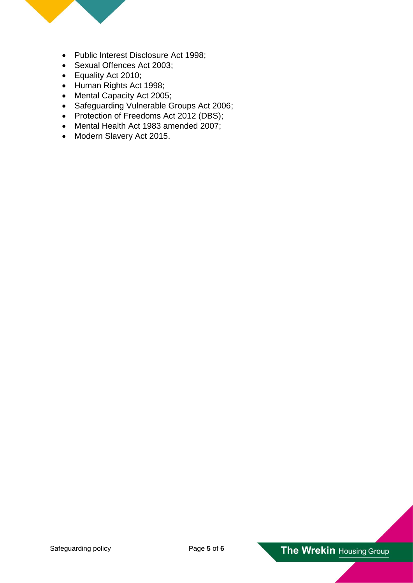

- Public Interest Disclosure Act 1998;
- Sexual Offences Act 2003;
- Equality Act 2010;
- Human Rights Act 1998;
- Mental Capacity Act 2005;
- Safeguarding Vulnerable Groups Act 2006;
- Protection of Freedoms Act 2012 (DBS);
- Mental Health Act 1983 amended 2007;
- Modern Slavery Act 2015.